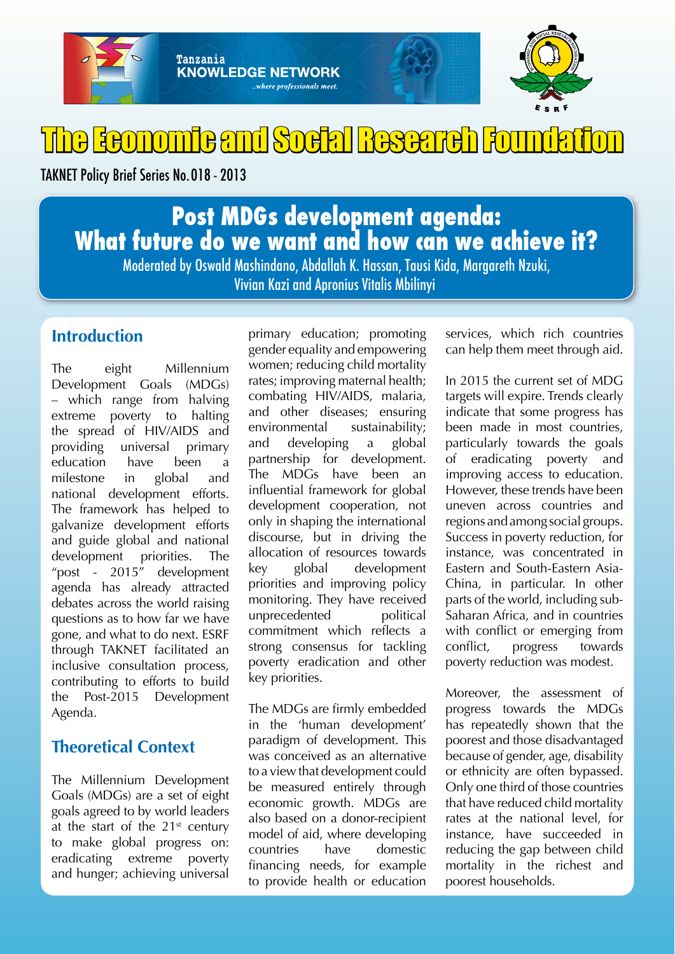

# The Economic and Social Research Foundati

TAKNET Policy Brief Series No. 018 - 2013

# **Post MDGs development agenda: What future do we want and how can we achieve it?**

Moderated by Oswald Mashindano, Abdallah K. Hassan, Tausi Kida, Margareth Nzuki, Vivian Kazi and Apronius Vitalis Mbilinyi

## **Introduction**

The eight Millennium Development Goals (MDGs) – which range from halving extreme poverty to halting the spread of HIV/AIDS and providing universal primary education have been a milestone in global and national development efforts. The framework has helped to galvanize development efforts and guide global and national development priorities. The "post - 2015" development agenda has already attracted debates across the world raising questions as to how far we have gone, and what to do next. ESRF through TAKNET facilitated an inclusive consultation process, contributing to efforts to build the Post-2015 Development Agenda.

### **Theoretical Context**

The Millennium Development Goals (MDGs) are a set of eight goals agreed to by world leaders at the start of the  $21<sup>st</sup>$  century to make global progress on: eradicating extreme poverty and hunger; achieving universal

primary education; promoting gender equality and empowering women; reducing child mortality rates; improving maternal health; combating HIV/AIDS, malaria, and other diseases; ensuring environmental sustainability; and developing a global partnership for development. The MDGs have been an influential framework for global development cooperation, not only in shaping the international discourse, but in driving the allocation of resources towards key global development priorities and improving policy monitoring. They have received unprecedented political commitment which reflects a strong consensus for tackling poverty eradication and other key priorities.

The MDGs are firmly embedded in the 'human development' paradigm of development. This was conceived as an alternative to a view that development could be measured entirely through economic growth. MDGs are also based on a donor-recipient model of aid, where developing countries have domestic financing needs, for example to provide health or education

services, which rich countries can help them meet through aid.

In 2015 the current set of MDG targets will expire. Trends clearly indicate that some progress has been made in most countries, particularly towards the goals of eradicating poverty and improving access to education. However, these trends have been uneven across countries and regions and among social groups. Success in poverty reduction, for instance, was concentrated in Eastern and South-Eastern Asia-China, in particular. In other parts of the world, including sub-Saharan Africa, and in countries with conflict or emerging from conflict, progress towards poverty reduction was modest.

Moreover, the assessment of progress towards the MDGs has repeatedly shown that the poorest and those disadvantaged because of gender, age, disability or ethnicity are often bypassed. Only one third of those countries that have reduced child mortality rates at the national level, for instance, have succeeded in reducing the gap between child mortality in the richest and poorest households.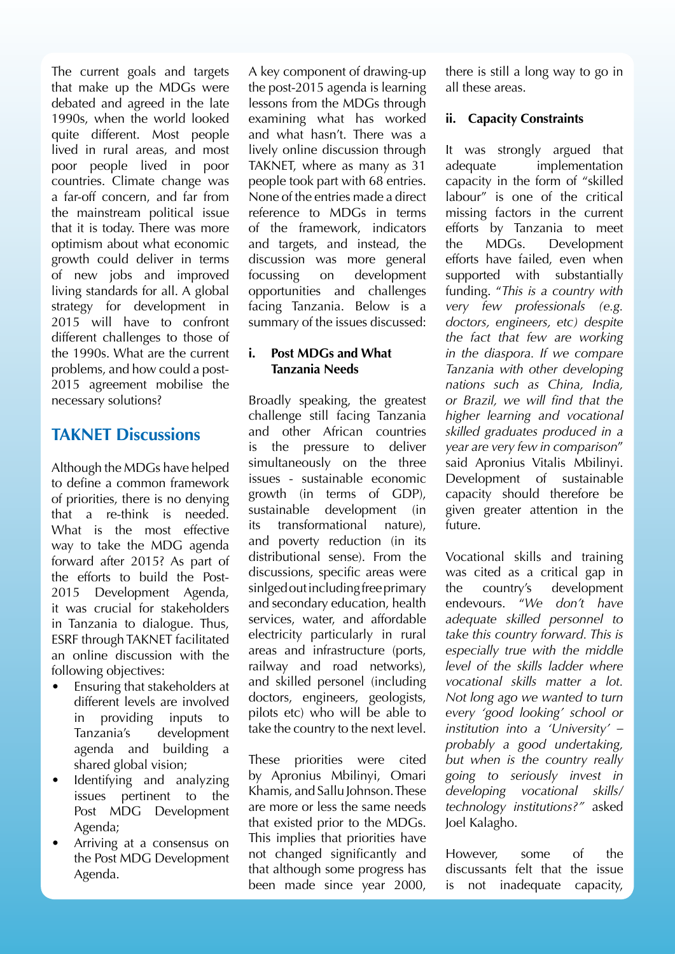The current goals and targets that make up the MDGs were debated and agreed in the late 1990s, when the world looked quite different. Most people lived in rural areas, and most poor people lived in poor countries. Climate change was a far-off concern, and far from the mainstream political issue that it is today. There was more optimism about what economic growth could deliver in terms of new jobs and improved living standards for all. A global strategy for development in 2015 will have to confront different challenges to those of the 1990s. What are the current problems, and how could a post-2015 agreement mobilise the necessary solutions?

### **TAKNET Discussions**

Although the MDGs have helped to define a common framework of priorities, there is no denying that a re-think is needed. What is the most effective way to take the MDG agenda forward after 2015? As part of the efforts to build the Post-2015 Development Agenda, it was crucial for stakeholders in Tanzania to dialogue. Thus, ESRF through TAKNET facilitated an online discussion with the following objectives:

- Ensuring that stakeholders at different levels are involved in providing inputs to Tanzania's development agenda and building a shared global vision;
- Identifying and analyzing issues pertinent to the Post MDG Development Agenda;
- Arriving at a consensus on the Post MDG Development Agenda.

A key component of drawing-up the post-2015 agenda is learning lessons from the MDGs through examining what has worked and what hasn't. There was a lively online discussion through TAKNET, where as many as 31 people took part with 68 entries. None of the entries made a direct reference to MDGs in terms of the framework, indicators and targets, and instead, the discussion was more general focussing on development opportunities and challenges facing Tanzania. Below is a summary of the issues discussed:

#### **i. Post MDGs and What Tanzania Needs**

Broadly speaking, the greatest challenge still facing Tanzania and other African countries is the pressure to deliver simultaneously on the three issues - sustainable economic growth (in terms of GDP), sustainable development (in its transformational nature), and poverty reduction (in its distributional sense). From the discussions, specific areas were sinlged out including free primary and secondary education, health services, water, and affordable electricity particularly in rural areas and infrastructure (ports, railway and road networks), and skilled personel (including doctors, engineers, geologists, pilots etc) who will be able to take the country to the next level.

These priorities were cited by Apronius Mbilinyi, Omari Khamis, and Sallu Johnson. These are more or less the same needs that existed prior to the MDGs. This implies that priorities have not changed significantly and that although some progress has been made since year 2000,

there is still a long way to go in all these areas.

#### **ii. Capacity Constraints**

It was strongly argued that adequate implementation capacity in the form of "skilled labour" is one of the critical missing factors in the current efforts by Tanzania to meet the MDGs. Development efforts have failed, even when supported with substantially funding. "*This is a country with very few professionals (e.g. doctors, engineers, etc) despite the fact that few are working in the diaspora. If we compare Tanzania with other developing nations such as China, India, or Brazil, we will find that the higher learning and vocational skilled graduates produced in a year are very few in comparison*" said Apronius Vitalis Mbilinyi. Development of sustainable capacity should therefore be given greater attention in the future.

Vocational skills and training was cited as a critical gap in the country's development endevours. "*We don't have adequate skilled personnel to take this country forward. This is especially true with the middle level of the skills ladder where vocational skills matter a lot. Not long ago we wanted to turn every 'good looking' school or institution into a 'University' – probably a good undertaking, but when is the country really going to seriously invest in developing vocational skills/ technology institutions?"* asked Joel Kalagho.

However, some of the discussants felt that the issue is not inadequate capacity,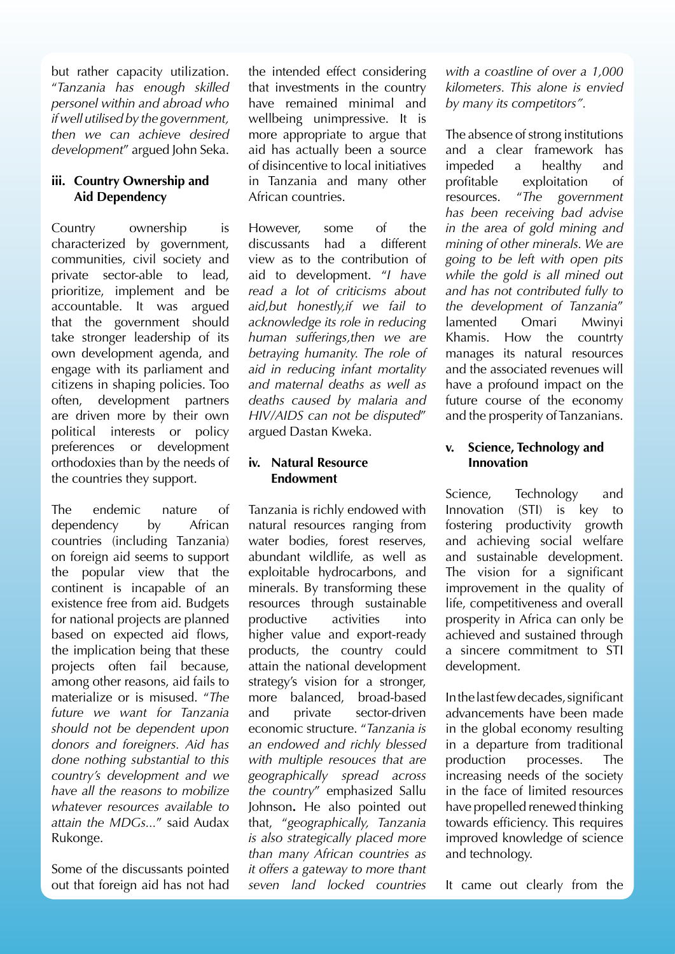but rather capacity utilization. "*Tanzania has enough skilled personel within and abroad who if well utilised by the government, then we can achieve desired development*" argued John Seka.

#### **iii. Country Ownership and Aid Dependency**

Country ownership is characterized by government, communities, civil society and private sector-able to lead, prioritize, implement and be accountable. It was argued that the government should take stronger leadership of its own development agenda, and engage with its parliament and citizens in shaping policies. Too often, development partners are driven more by their own political interests or policy preferences or development orthodoxies than by the needs of the countries they support.

The endemic nature of dependency by African countries (including Tanzania) on foreign aid seems to support the popular view that the continent is incapable of an existence free from aid. Budgets for national projects are planned based on expected aid flows, the implication being that these projects often fail because, among other reasons, aid fails to materialize or is misused. "*The future we want for Tanzania should not be dependent upon donors and foreigners. Aid has done nothing substantial to this country's development and we have all the reasons to mobilize whatever resources available to attain the MDGs...*" said Audax Rukonge.

Some of the discussants pointed out that foreign aid has not had

the intended effect considering that investments in the country have remained minimal and wellbeing unimpressive. It is more appropriate to argue that aid has actually been a source of disincentive to local initiatives in Tanzania and many other African countries.

However, some of the discussants had a different view as to the contribution of aid to development. "*I have read a lot of criticisms about aid,but honestly,if we fail to acknowledge its role in reducing human sufferings,then we are betraying humanity. The role of aid in reducing infant mortality and maternal deaths as well as deaths caused by malaria and HIV/AIDS can not be disputed*" argued Dastan Kweka.

#### **iv. Natural Resource Endowment**

Tanzania is richly endowed with natural resources ranging from water bodies, forest reserves, abundant wildlife, as well as exploitable hydrocarbons, and minerals. By transforming these resources through sustainable productive activities into higher value and export-ready products, the country could attain the national development strategy's vision for a stronger, more balanced, broad-based and private sector-driven economic structure. "*Tanzania is an endowed and richly blessed with multiple resouces that are geographically spread across the country*" emphasized Sallu Johnson**.** He also pointed out that, "*geographically, Tanzania is also strategically placed more than many African countries as it offers a gateway to more thant seven land locked countries* 

*with a coastline of over a 1,000 kilometers. This alone is envied by many its competitors".*

The absence of strong institutions and a clear framework has impeded a healthy and profitable exploitation of resources. "*The government has been receiving bad advise in the area of gold mining and mining of other minerals. We are going to be left with open pits while the gold is all mined out and has not contributed fully to the development of Tanzania*" lamented Omari Mwinyi Khamis. How the countrty manages its natural resources and the associated revenues will have a profound impact on the future course of the economy and the prosperity of Tanzanians.

#### **v. Science, Technology and Innovation**

Science, Technology and Innovation (STI) is key to fostering productivity growth and achieving social welfare and sustainable development. The vision for a significant improvement in the quality of life, competitiveness and overall prosperity in Africa can only be achieved and sustained through a sincere commitment to STI development.

In the last few decades, significant advancements have been made in the global economy resulting in a departure from traditional production processes. The increasing needs of the society in the face of limited resources have propelled renewed thinking towards efficiency. This requires improved knowledge of science and technology.

It came out clearly from the